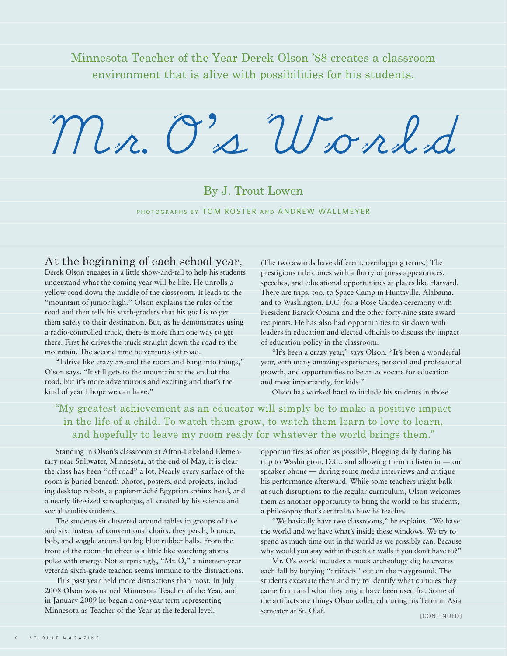Minnesota Teacher of the Year Derek Olson '88 creates a classroom environment that is alive with possibilities for his students.

# Mr. O' s World

# By J. Trout Lowen

PHOTOGRAPHS BY TOM ROSTER AND ANDREW WALLMEYER

#### At the beginning of each school year,

Derek Olson engages in a little show-and-tell to help his students understand what the coming year will be like. He unrolls a yellow road down the middle of the classroom. It leads to the "mountain of junior high." Olson explains the rules of the road and then tells his sixth-graders that his goal is to get them safely to their destination. But, as he demonstrates using a radio-controlled truck, there is more than one way to get there. First he drives the truck straight down the road to the mountain. The second time he ventures off road.

"I drive like crazy around the room and bang into things," Olson says. "It still gets to the mountain at the end of the road, but it's more adventurous and exciting and that's the kind of year I hope we can have."

(The two awards have different, overlapping terms.) The prestigious title comes with a flurry of press appearances, speeches, and educational opportunities at places like Harvard. There are trips, too, to Space Camp in Huntsville, Alabama, and to Washington, D.C. for a Rose Garden ceremony with President Barack Obama and the other forty-nine state award recipients. He has also had opportunities to sit down with leaders in education and elected officials to discuss the impact of education policy in the classroom.

"It's been a crazy year," says Olson. "It's been a wonderful year, with many amazing experiences, personal and professional growth, and opportunities to be an advocate for education and most importantly, for kids."

Olson has worked hard to include his students in those

### "My greatest achievement as an educator will simply be to make a positive impact in the life of a child. To watch them grow, to watch them learn to love to learn, and hopefully to leave my room ready for whatever the world brings them."

Standing in Olson's classroom at Afton-Lakeland Elementary near Stillwater, Minnesota, at the end of May, it is clear the class has been "off road" a lot. Nearly every surface of the room is buried beneath photos, posters, and projects, including desktop robots, a papier-mâché Egyptian sphinx head, and a nearly life-sized sarcophagus, all created by his science and social studies students.

The students sit clustered around tables in groups of five and six. Instead of conventional chairs, they perch, bounce, bob, and wiggle around on big blue rubber balls. From the front of the room the effect is a little like watching atoms pulse with energy. Not surprisingly, "Mr. O," a nineteen-year veteran sixth-grade teacher, seems immune to the distractions.

This past year held more distractions than most. In July 2008 Olson was named Minnesota Teacher of the Year, and in January 2009 he began a one-year term representing Minnesota as Teacher of the Year at the federal level.

opportunities as often as possible, blogging daily during his trip to Washington, D.C., and allowing them to listen in — on speaker phone — during some media interviews and critique his performance afterward. While some teachers might balk at such disruptions to the regular curriculum, Olson welcomes them as another opportunity to bring the world to his students, a philosophy that's central to how he teaches.

"We basically have two classrooms," he explains. "We have the world and we have what's inside these windows. We try to spend as much time out in the world as we possibly can. Because why would you stay within these four walls if you don't have to?"

Mr. O's world includes a mock archeology dig he creates each fall by burying "artifacts" out on the playground. The students excavate them and try to identify what cultures they came from and what they might have been used for. Some of the artifacts are things Olson collected during his Term in Asia semester at St. Olaf.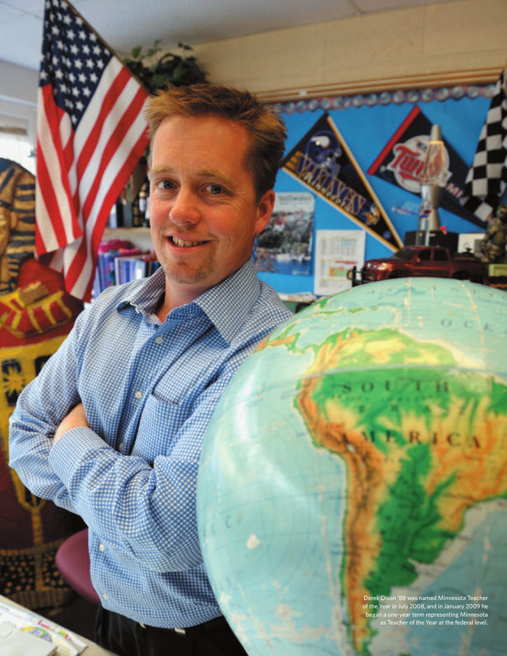Derek Olson '88 was named Minnesota Teacher of the Year in July 2008, and in January 2009 he began a one-year term representing Minnesota as Teacher of the Year at the federal level.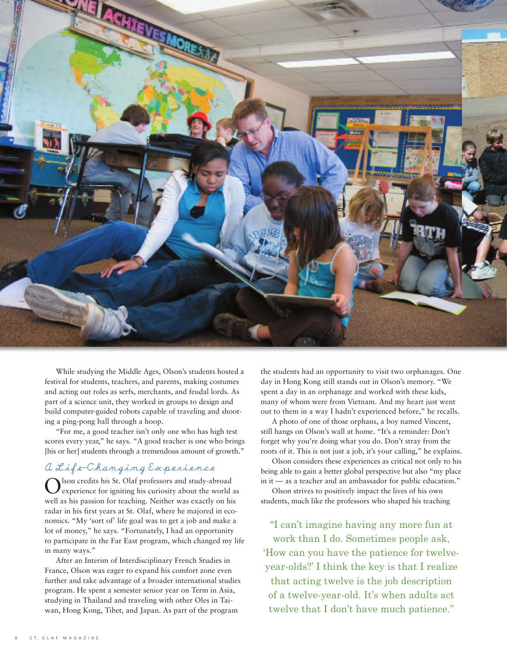

While studying the Middle Ages, Olson's students hosted a festival for students, teachers, and parents, making costumes and acting out roles as serfs, merchants, and feudal lords. As part of a science unit, they worked in groups to design and build computer-guided robots capable of traveling and shooting a ping-pong ball through a hoop.

"For me, a good teacher isn't only one who has high test scores every year," he says. "A good teacher is one who brings [his or her] students through a tremendous amount of growth."

#### A Life-Changing Experience

Olson credits his St. Olaf professors and study-abroad experience for igniting his curiosity about the world as well as his passion for teaching. Neither was exactly on his radar in his first years at St. Olaf, where he majored in economics. "My 'sort of' life goal was to get a job and make a lot of money," he says. "Fortunately, I had an opportunity to participate in the Far East program, which changed my life in many ways."

After an Interim of Interdisciplinary French Studies in France, Olson was eager to expand his comfort zone even further and take advantage of a broader international studies program. He spent a semester senior year on Term in Asia, studying in Thailand and traveling with other Oles in Taiwan, Hong Kong, Tibet, and Japan. As part of the program

the students had an opportunity to visit two orphanages. One day in Hong Kong still stands out in Olson's memory. "We spent a day in an orphanage and worked with these kids, many of whom were from Vietnam. And my heart just went out to them in a way I hadn't experienced before," he recalls.

A photo of one of those orphans, a boy named Vincent, still hangs on Olson's wall at home. "It's a reminder: Don't forget why you're doing what you do. Don't stray from the roots of it. This is not just a job, it's your calling," he explains.

Olson considers these experiences as critical not only to his being able to gain a better global perspective but also "my place in it — as a teacher and an ambassador for public education."

Olson strives to positively impact the lives of his own students, much like the professors who shaped his teaching

"I can't imagine having any more fun at work than I do. Sometimes people ask, 'How can you have the patience for twelveyear-olds?' I think the key is that I realize that acting twelve is the job description of a twelve-year-old. It's when adults act twelve that I don't have much patience."